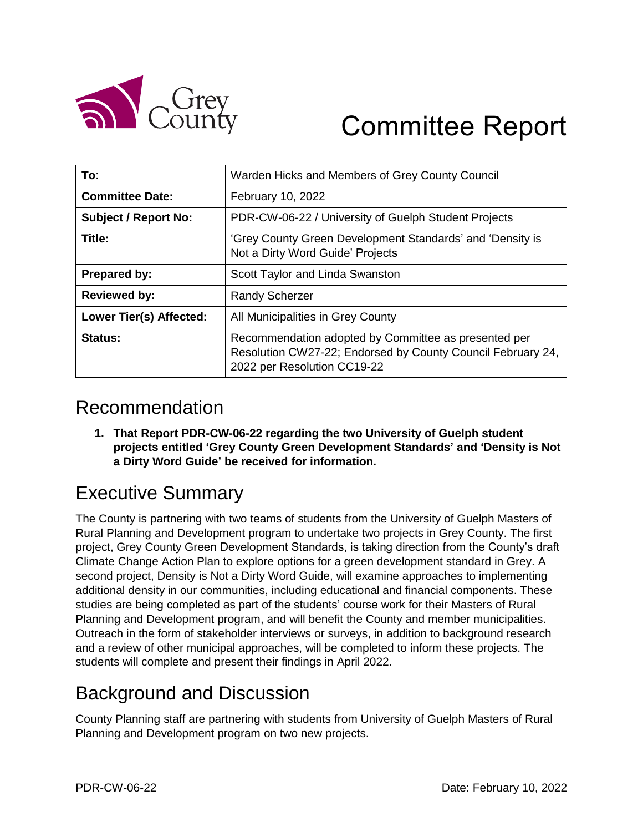

# Committee Report

| To:                         | Warden Hicks and Members of Grey County Council                                                                                                    |
|-----------------------------|----------------------------------------------------------------------------------------------------------------------------------------------------|
| <b>Committee Date:</b>      | February 10, 2022                                                                                                                                  |
| <b>Subject / Report No:</b> | PDR-CW-06-22 / University of Guelph Student Projects                                                                                               |
| Title:                      | 'Grey County Green Development Standards' and 'Density is<br>Not a Dirty Word Guide' Projects                                                      |
| <b>Prepared by:</b>         | Scott Taylor and Linda Swanston                                                                                                                    |
| <b>Reviewed by:</b>         | <b>Randy Scherzer</b>                                                                                                                              |
| Lower Tier(s) Affected:     | All Municipalities in Grey County                                                                                                                  |
| Status:                     | Recommendation adopted by Committee as presented per<br>Resolution CW27-22; Endorsed by County Council February 24,<br>2022 per Resolution CC19-22 |

#### Recommendation

**1. That Report PDR-CW-06-22 regarding the two University of Guelph student projects entitled 'Grey County Green Development Standards' and 'Density is Not a Dirty Word Guide' be received for information.** 

## Executive Summary

The County is partnering with two teams of students from the University of Guelph Masters of Rural Planning and Development program to undertake two projects in Grey County. The first project, Grey County Green Development Standards, is taking direction from the County's draft Climate Change Action Plan to explore options for a green development standard in Grey. A second project, Density is Not a Dirty Word Guide, will examine approaches to implementing additional density in our communities, including educational and financial components. These studies are being completed as part of the students' course work for their Masters of Rural Planning and Development program, and will benefit the County and member municipalities. Outreach in the form of stakeholder interviews or surveys, in addition to background research and a review of other municipal approaches, will be completed to inform these projects. The students will complete and present their findings in April 2022.

### Background and Discussion

County Planning staff are partnering with students from University of Guelph Masters of Rural Planning and Development program on two new projects.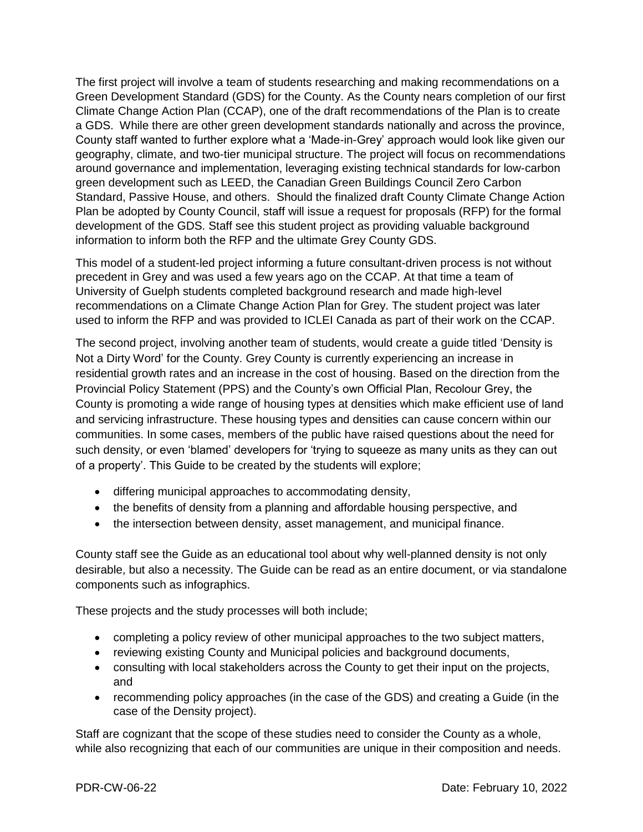The first project will involve a team of students researching and making recommendations on a Green Development Standard (GDS) for the County. As the County nears completion of our first Climate Change Action Plan (CCAP), one of the draft recommendations of the Plan is to create a GDS. While there are other green development standards nationally and across the province, County staff wanted to further explore what a 'Made-in-Grey' approach would look like given our geography, climate, and two-tier municipal structure. The project will focus on recommendations around governance and implementation, leveraging existing technical standards for low-carbon green development such as LEED, the Canadian Green Buildings Council Zero Carbon Standard, Passive House, and others. Should the finalized draft County Climate Change Action Plan be adopted by County Council, staff will issue a request for proposals (RFP) for the formal development of the GDS. Staff see this student project as providing valuable background information to inform both the RFP and the ultimate Grey County GDS.

This model of a student-led project informing a future consultant-driven process is not without precedent in Grey and was used a few years ago on the CCAP. At that time a team of University of Guelph students completed background research and made high-level recommendations on a Climate Change Action Plan for Grey. The student project was later used to inform the RFP and was provided to ICLEI Canada as part of their work on the CCAP.

The second project, involving another team of students, would create a guide titled 'Density is Not a Dirty Word' for the County. Grey County is currently experiencing an increase in residential growth rates and an increase in the cost of housing. Based on the direction from the Provincial Policy Statement (PPS) and the County's own Official Plan, Recolour Grey, the County is promoting a wide range of housing types at densities which make efficient use of land and servicing infrastructure. These housing types and densities can cause concern within our communities. In some cases, members of the public have raised questions about the need for such density, or even 'blamed' developers for 'trying to squeeze as many units as they can out of a property'. This Guide to be created by the students will explore;

- differing municipal approaches to accommodating density,
- the benefits of density from a planning and affordable housing perspective, and
- the intersection between density, asset management, and municipal finance.

County staff see the Guide as an educational tool about why well-planned density is not only desirable, but also a necessity. The Guide can be read as an entire document, or via standalone components such as infographics.

These projects and the study processes will both include;

- completing a policy review of other municipal approaches to the two subject matters,
- reviewing existing County and Municipal policies and background documents,
- consulting with local stakeholders across the County to get their input on the projects, and
- recommending policy approaches (in the case of the GDS) and creating a Guide (in the case of the Density project).

Staff are cognizant that the scope of these studies need to consider the County as a whole, while also recognizing that each of our communities are unique in their composition and needs.